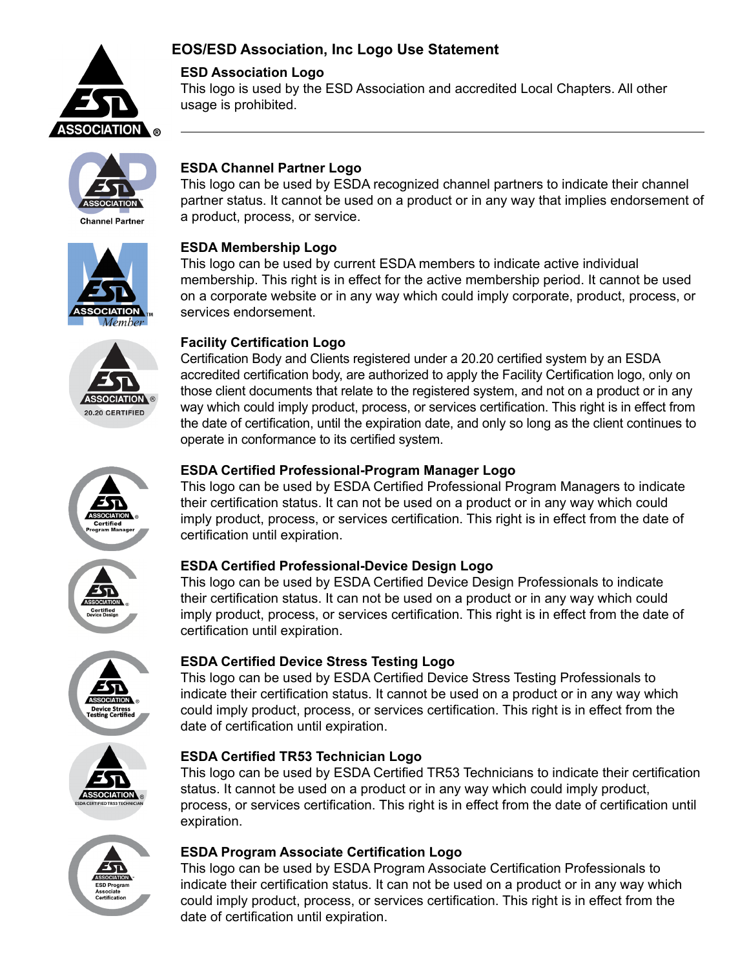

# **EOS/ESD Association, Inc Logo Use Statement**

#### **ESD Association Logo**

This logo is used by the ESD Association and accredited Local Chapters. All other usage is prohibited.



**Channel Partner** 















## **ESDA Channel Partner Logo**

This logo can be used by ESDA recognized channel partners to indicate their channel partner status. It cannot be used on a product or in any way that implies endorsement of a product, process, or service.

### **ESDA Membership Logo**

This logo can be used by current ESDA members to indicate active individual membership. This right is in effect for the active membership period. It cannot be used on a corporate website or in any way which could imply corporate, product, process, or services endorsement.

### **Facility Certification Logo**

Certification Body and Clients registered under a 20.20 certified system by an ESDA accredited certification body, are authorized to apply the Facility Certification logo, only on those client documents that relate to the registered system, and not on a product or in any way which could imply product, process, or services certification. This right is in effect from the date of certification, until the expiration date, and only so long as the client continues to operate in conformance to its certified system.

### **ESDA Certified Professional-Program Manager Logo**

This logo can be used by ESDA Certified Professional Program Managers to indicate their certification status. It can not be used on a product or in any way which could imply product, process, or services certification. This right is in effect from the date of certification until expiration.

### **ESDA Certified Professional-Device Design Logo**

This logo can be used by ESDA Certified Device Design Professionals to indicate their certification status. It can not be used on a product or in any way which could imply product, process, or services certification. This right is in effect from the date of certification until expiration.

### **ESDA Certified Device Stress Testing Logo**

This logo can be used by ESDA Certified Device Stress Testing Professionals to indicate their certification status. It cannot be used on a product or in any way which could imply product, process, or services certification. This right is in effect from the date of certification until expiration.

### **ESDA Certified TR53 Technician Logo**

This logo can be used by ESDA Certified TR53 Technicians to indicate their certification status. It cannot be used on a product or in any way which could imply product, process, or services certification. This right is in effect from the date of certification until expiration.

## **ESDA Program Associate Certification Logo**

This logo can be used by ESDA Program Associate Certification Professionals to indicate their certification status. It can not be used on a product or in any way which could imply product, process, or services certification. This right is in effect from the date of certification until expiration.